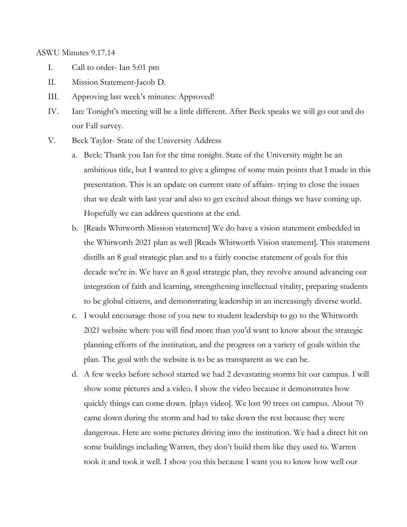ASWU Minutes 9.17.14

- I. Call to order- Ian 5:01 pm
- II. Mission Statement-Jacob D.
- III. Approving last week's minutes: Approved!
- IV. Ian: Tonight's meeting will be a little different. After Beck speaks we will go out and do our Fall survey.
- V. Beck Taylor- State of the University Address
	- a. Beck: Thank you Ian for the time tonight. State of the University might be an ambitious title, but I wanted to give a glimpse of some main points that I made in this presentation. This is an update on current state of affairs- trying to close the issues that we dealt with last year and also to get excited about things we have coming up. Hopefully we can address questions at the end.
	- b. [Reads Whitworth Mission statement] We do have a vision statement embedded in the Whitworth 2021 plan as well [Reads Whitworth Vision statement]. This statement distills an 8 goal strategic plan and to a fairly concise statement of goals for this decade we're in. We have an 8 goal strategic plan, they revolve around advancing our integration of faith and learning, strengthening intellectual vitality, preparing students to be global citizens, and demonstrating leadership in an increasingly diverse world.
	- c. I would encourage those of you new to student leadership to go to the Whitworth 2021 website where you will find more than you'd want to know about the strategic planning efforts of the institution, and the progress on a variety of goals within the plan. The goal with the website is to be as transparent as we can be.
	- d. A few weeks before school started we had 2 devastating storms hit our campus. I will show some pictures and a video. I show the video because it demonstrates how quickly things can come down. [plays video]. We lost 90 trees on campus. About 70 came down during the storm and had to take down the rest because they were dangerous. Here are some pictures driving into the institution. We had a direct hit on some buildings including Warren, they don't build them like they used to. Warren took it and took it well. I show you this because I want you to know how well our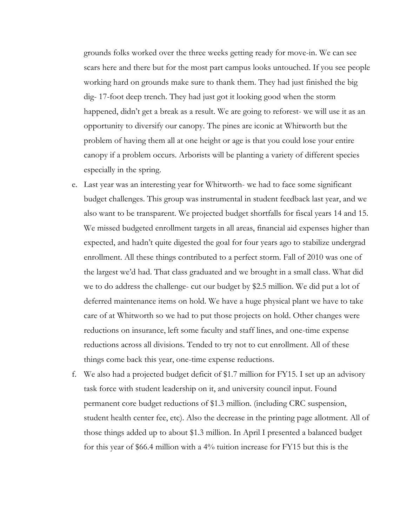grounds folks worked over the three weeks getting ready for move-in. We can see scars here and there but for the most part campus looks untouched. If you see people working hard on grounds make sure to thank them. They had just finished the big dig- 17-foot deep trench. They had just got it looking good when the storm happened, didn't get a break as a result. We are going to reforest- we will use it as an opportunity to diversify our canopy. The pines are iconic at Whitworth but the problem of having them all at one height or age is that you could lose your entire canopy if a problem occurs. Arborists will be planting a variety of different species especially in the spring.

- e. Last year was an interesting year for Whitworth- we had to face some significant budget challenges. This group was instrumental in student feedback last year, and we also want to be transparent. We projected budget shortfalls for fiscal years 14 and 15. We missed budgeted enrollment targets in all areas, financial aid expenses higher than expected, and hadn't quite digested the goal for four years ago to stabilize undergrad enrollment. All these things contributed to a perfect storm. Fall of 2010 was one of the largest we'd had. That class graduated and we brought in a small class. What did we to do address the challenge- cut our budget by \$2.5 million. We did put a lot of deferred maintenance items on hold. We have a huge physical plant we have to take care of at Whitworth so we had to put those projects on hold. Other changes were reductions on insurance, left some faculty and staff lines, and one-time expense reductions across all divisions. Tended to try not to cut enrollment. All of these things come back this year, one-time expense reductions.
- f. We also had a projected budget deficit of \$1.7 million for FY15. I set up an advisory task force with student leadership on it, and university council input. Found permanent core budget reductions of \$1.3 million. (including CRC suspension, student health center fee, etc). Also the decrease in the printing page allotment. All of those things added up to about \$1.3 million. In April I presented a balanced budget for this year of \$66.4 million with a 4% tuition increase for FY15 but this is the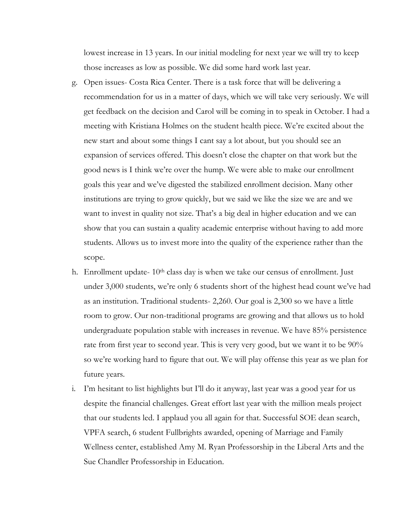lowest increase in 13 years. In our initial modeling for next year we will try to keep those increases as low as possible. We did some hard work last year.

- g. Open issues- Costa Rica Center. There is a task force that will be delivering a recommendation for us in a matter of days, which we will take very seriously. We will get feedback on the decision and Carol will be coming in to speak in October. I had a meeting with Kristiana Holmes on the student health piece. We're excited about the new start and about some things I cant say a lot about, but you should see an expansion of services offered. This doesn't close the chapter on that work but the good news is I think we're over the hump. We were able to make our enrollment goals this year and we've digested the stabilized enrollment decision. Many other institutions are trying to grow quickly, but we said we like the size we are and we want to invest in quality not size. That's a big deal in higher education and we can show that you can sustain a quality academic enterprise without having to add more students. Allows us to invest more into the quality of the experience rather than the scope.
- h. Enrollment update-  $10<sup>th</sup>$  class day is when we take our census of enrollment. Just under 3,000 students, we're only 6 students short of the highest head count we've had as an institution. Traditional students- 2,260. Our goal is 2,300 so we have a little room to grow. Our non-traditional programs are growing and that allows us to hold undergraduate population stable with increases in revenue. We have 85% persistence rate from first year to second year. This is very very good, but we want it to be 90% so we're working hard to figure that out. We will play offense this year as we plan for future years.
- i. I'm hesitant to list highlights but I'll do it anyway, last year was a good year for us despite the financial challenges. Great effort last year with the million meals project that our students led. I applaud you all again for that. Successful SOE dean search, VPFA search, 6 student Fullbrights awarded, opening of Marriage and Family Wellness center, established Amy M. Ryan Professorship in the Liberal Arts and the Sue Chandler Professorship in Education.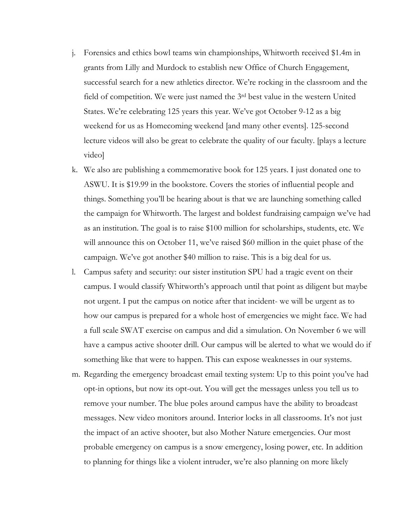- j. Forensics and ethics bowl teams win championships, Whitworth received \$1.4m in grants from Lilly and Murdock to establish new Office of Church Engagement, successful search for a new athletics director. We're rocking in the classroom and the field of competition. We were just named the 3rd best value in the western United States. We're celebrating 125 years this year. We've got October 9-12 as a big weekend for us as Homecoming weekend [and many other events]. 125-second lecture videos will also be great to celebrate the quality of our faculty. [plays a lecture video]
- k. We also are publishing a commemorative book for 125 years. I just donated one to ASWU. It is \$19.99 in the bookstore. Covers the stories of influential people and things. Something you'll be hearing about is that we are launching something called the campaign for Whitworth. The largest and boldest fundraising campaign we've had as an institution. The goal is to raise \$100 million for scholarships, students, etc. We will announce this on October 11, we've raised \$60 million in the quiet phase of the campaign. We've got another \$40 million to raise. This is a big deal for us.
- l. Campus safety and security: our sister institution SPU had a tragic event on their campus. I would classify Whitworth's approach until that point as diligent but maybe not urgent. I put the campus on notice after that incident- we will be urgent as to how our campus is prepared for a whole host of emergencies we might face. We had a full scale SWAT exercise on campus and did a simulation. On November 6 we will have a campus active shooter drill. Our campus will be alerted to what we would do if something like that were to happen. This can expose weaknesses in our systems.
- m. Regarding the emergency broadcast email texting system: Up to this point you've had opt-in options, but now its opt-out. You will get the messages unless you tell us to remove your number. The blue poles around campus have the ability to broadcast messages. New video monitors around. Interior locks in all classrooms. It's not just the impact of an active shooter, but also Mother Nature emergencies. Our most probable emergency on campus is a snow emergency, losing power, etc. In addition to planning for things like a violent intruder, we're also planning on more likely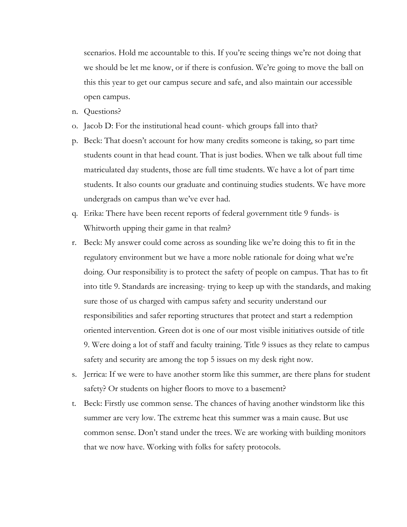scenarios. Hold me accountable to this. If you're seeing things we're not doing that we should be let me know, or if there is confusion. We're going to move the ball on this this year to get our campus secure and safe, and also maintain our accessible open campus.

- n. Questions?
- o. Jacob D: For the institutional head count- which groups fall into that?
- p. Beck: That doesn't account for how many credits someone is taking, so part time students count in that head count. That is just bodies. When we talk about full time matriculated day students, those are full time students. We have a lot of part time students. It also counts our graduate and continuing studies students. We have more undergrads on campus than we've ever had.
- q. Erika: There have been recent reports of federal government title 9 funds- is Whitworth upping their game in that realm?
- r. Beck: My answer could come across as sounding like we're doing this to fit in the regulatory environment but we have a more noble rationale for doing what we're doing. Our responsibility is to protect the safety of people on campus. That has to fit into title 9. Standards are increasing- trying to keep up with the standards, and making sure those of us charged with campus safety and security understand our responsibilities and safer reporting structures that protect and start a redemption oriented intervention. Green dot is one of our most visible initiatives outside of title 9. Were doing a lot of staff and faculty training. Title 9 issues as they relate to campus safety and security are among the top 5 issues on my desk right now.
- s. Jerrica: If we were to have another storm like this summer, are there plans for student safety? Or students on higher floors to move to a basement?
- t. Beck: Firstly use common sense. The chances of having another windstorm like this summer are very low. The extreme heat this summer was a main cause. But use common sense. Don't stand under the trees. We are working with building monitors that we now have. Working with folks for safety protocols.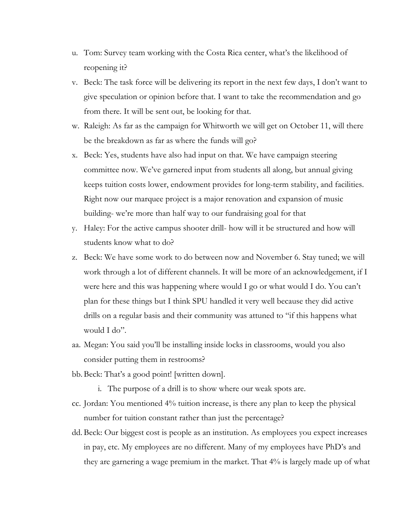- u. Tom: Survey team working with the Costa Rica center, what's the likelihood of reopening it?
- v. Beck: The task force will be delivering its report in the next few days, I don't want to give speculation or opinion before that. I want to take the recommendation and go from there. It will be sent out, be looking for that.
- w. Raleigh: As far as the campaign for Whitworth we will get on October 11, will there be the breakdown as far as where the funds will go?
- x. Beck: Yes, students have also had input on that. We have campaign steering committee now. We've garnered input from students all along, but annual giving keeps tuition costs lower, endowment provides for long-term stability, and facilities. Right now our marquee project is a major renovation and expansion of music building- we're more than half way to our fundraising goal for that
- y. Haley: For the active campus shooter drill- how will it be structured and how will students know what to do?
- z. Beck: We have some work to do between now and November 6. Stay tuned; we will work through a lot of different channels. It will be more of an acknowledgement, if I were here and this was happening where would I go or what would I do. You can't plan for these things but I think SPU handled it very well because they did active drills on a regular basis and their community was attuned to "if this happens what would I do".
- aa. Megan: You said you'll be installing inside locks in classrooms, would you also consider putting them in restrooms?
- bb.Beck: That's a good point! [written down].
	- i. The purpose of a drill is to show where our weak spots are.
- cc. Jordan: You mentioned 4% tuition increase, is there any plan to keep the physical number for tuition constant rather than just the percentage?
- dd. Beck: Our biggest cost is people as an institution. As employees you expect increases in pay, etc. My employees are no different. Many of my employees have PhD's and they are garnering a wage premium in the market. That 4% is largely made up of what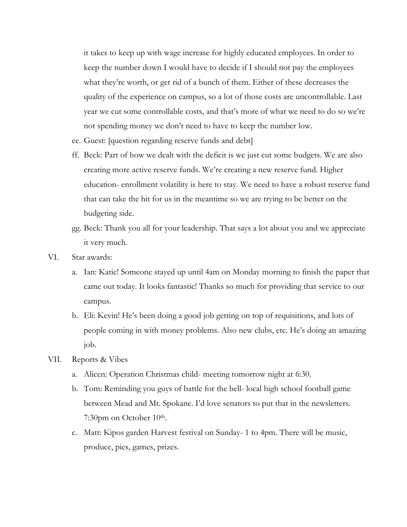it takes to keep up with wage increase for highly educated employees. In order to keep the number down I would have to decide if I should not pay the employees what they're worth, or get rid of a bunch of them. Either of these decreases the quality of the experience on campus, so a lot of those costs are uncontrollable. Last year we cut some controllable costs, and that's more of what we need to do so we're not spending money we don't need to have to keep the number low.

- ee. Guest: [question regarding reserve funds and debt]
- ff. Beck: Part of how we dealt with the deficit is we just cut some budgets. We are also creating more active reserve funds. We're creating a new reserve fund. Higher education- enrollment volatility is here to stay. We need to have a robust reserve fund that can take the hit for us in the meantime so we are trying to be better on the budgeting side.
- gg. Beck: Thank you all for your leadership. That says a lot about you and we appreciate it very much.
- VI. Star awards:
	- a. Ian: Katie! Someone stayed up until 4am on Monday morning to finish the paper that came out today. It looks fantastic! Thanks so much for providing that service to our campus.
	- b. Eli: Kevin! He's been doing a good job getting on top of requisitions, and lots of people coming in with money problems. Also new clubs, etc. He's doing an amazing job.
- VII. Reports & Vibes
	- a. Alicen: Operation Christmas child- meeting tomorrow night at 6:30.
	- b. Tom: Reminding you guys of battle for the bell- local high school football game between Mead and Mt. Spokane. I'd love senators to put that in the newsletters. 7:30pm on October 10<sup>th</sup>.
	- c. Matt: Kipos garden Harvest festival on Sunday- 1 to 4pm. There will be music, produce, pies, games, prizes.